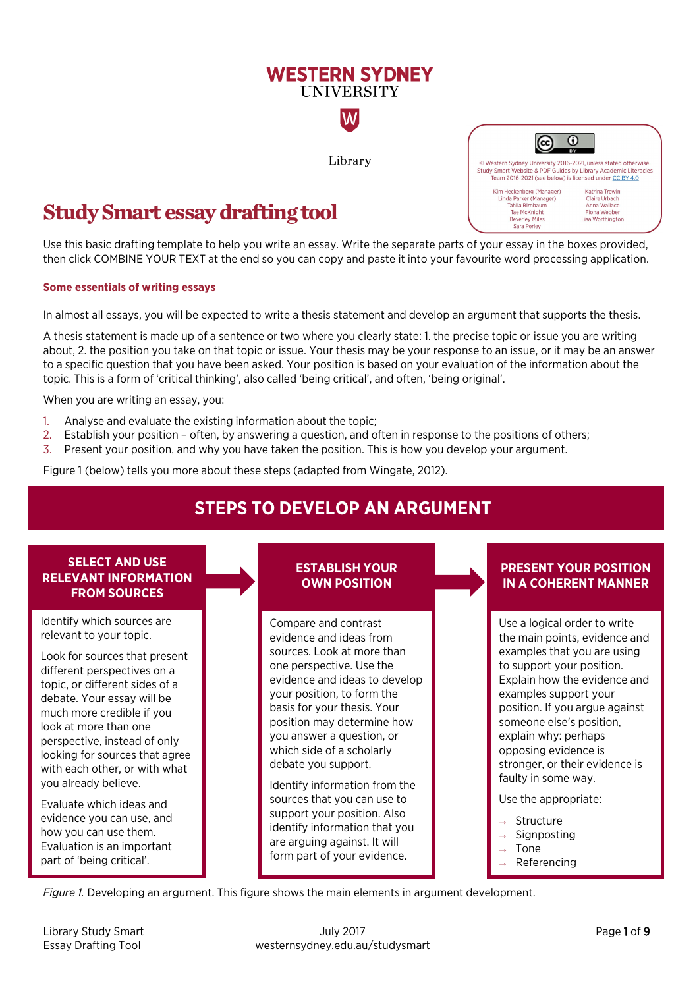# **Study Smart essay drafting tool**

Use this basic drafting template to help you write an essay. Write the separate parts of your essay in the boxes provided, then click COMBINE YOUR TEXT at the end so you can copy and paste it into your favourite word processing application.

**WESTERN SYDNEY UNIVERSITY** 

W

Library

#### **Some essentials of writing essays**

In almost all essays, you will be expected to write a thesis statement and develop an argument that supports the thesis.

A thesis statement is made up of a sentence or two where you clearly state: 1. the precise topic or issue you are writing about, 2. the position you take on that topic or issue. Your thesis may be your response to an issue, or it may be an answer to a specific question that you have been asked. Your position is based on your evaluation of the information about the topic. This is a form of 'critical thinking', also called 'being critical', and often, 'being original'.

When you are writing an essay, you:

- 1. Analyse and evaluate the existing information about the topic;
- 2. Establish your position often, by answering a question, and often in response to the positions of others;
- 3. Present your position, and why you have taken the position. This is how you develop your argument.

Figure 1 (below) tells you more about these steps (adapted from Wingate, 2012).

# **STEPS TO DEVELOP AN ARGUMENT**

### **SELECT AND USE RELEVANT INFORMATION FROM SOURCES**

Identify which sources are relevant to your topic.

Look for sources that present different perspectives on a topic, or different sides of a debate. Your essay will be much more credible if you look at more than one perspective, instead of only looking for sources that agree with each other, or with what you already believe.

Evaluate which ideas and evidence you can use, and how you can use them. Evaluation is an important part of 'being critical'.

### **ESTABLISH YOUR OWN POSITION**

Compare and contrast evidence and ideas from sources. Look at more than one perspective. Use the evidence and ideas to develop your position, to form the basis for your thesis. Your position may determine how you answer a question, or which side of a scholarly debate you support.

Identify information from the sources that you can use to support your position. Also identify information that you are arguing against. It will form part of your evidence.

## **PRESENT YOUR POSITION IN A COHERENT MANNER**

Use a logical order to write the main points, evidence and examples that you are using to support your position. Explain how the evidence and examples support your position. If you argue against someone else's position, explain why: perhaps opposing evidence is stronger, or their evidence is faulty in some way.

Use the appropriate:

- Structure
- $\rightarrow$  Signposting
- Tone
- Referencing

*Figure 1.* Developing an argument. This figure shows the main elements in argument development.

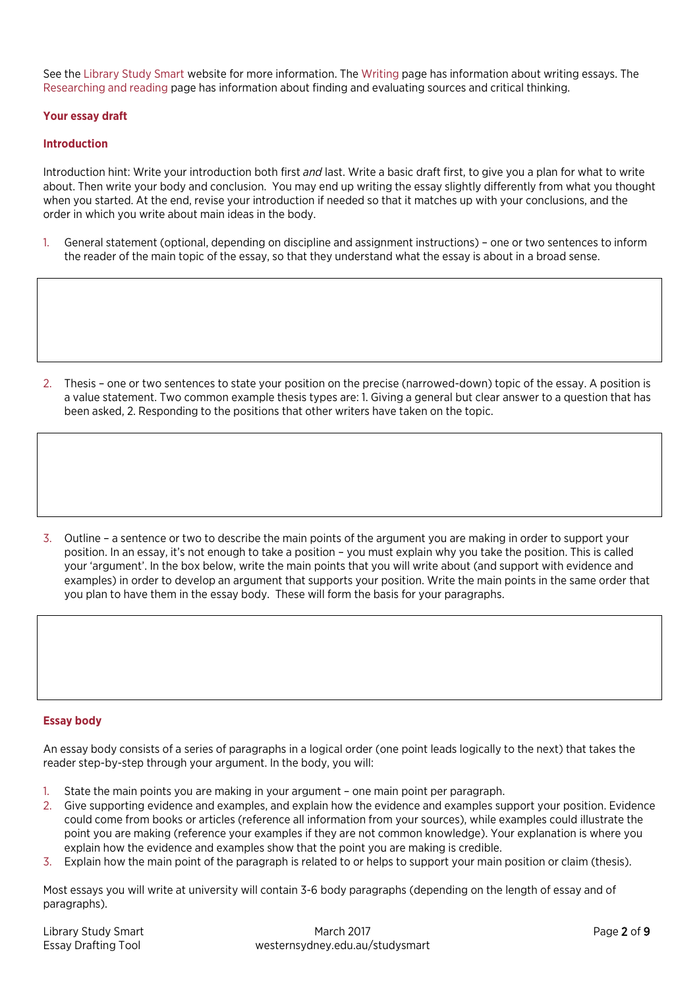See the [Library Study Smart](https://westernsydney.edu.au/studysmart/) website for more information. Th[e Writing](https://westernsydney.edu.au/studysmart/home/assignment_help/writing) page has information about writing essays. The [Researching and reading](https://westernsydney.edu.au/studysmart/home/assignment_help/researching_and_reading) page has information about finding and evaluating sources and critical thinking.

#### **Your essay draft**

#### **Introduction**

Introduction hint: Write your introduction both first *and* last. Write a basic draft first, to give you a plan for what to write about. Then write your body and conclusion. You may end up writing the essay slightly differently from what you thought when you started. At the end, revise your introduction if needed so that it matches up with your conclusions, and the order in which you write about main ideas in the body.

1. General statement (optional, depending on discipline and assignment instructions) – one or two sentences to inform the reader of the main topic of the essay, so that they understand what the essay is about in a broad sense.

2. Thesis – one or two sentences to state your position on the precise (narrowed-down) topic of the essay. A position is a value statement. Two common example thesis types are: 1. Giving a general but clear answer to a question that has been asked, 2. Responding to the positions that other writers have taken on the topic.

3. Outline – a sentence or two to describe the main points of the argument you are making in order to support your position. In an essay, it's not enough to take a position – you must explain why you take the position. This is called your 'argument'. In the box below, write the main points that you will write about (and support with evidence and examples) in order to develop an argument that supports your position. Write the main points in the same order that you plan to have them in the essay body. These will form the basis for your paragraphs.

#### **Essay body**

An essay body consists of a series of paragraphs in a logical order (one point leads logically to the next) that takes the reader step-by-step through your argument. In the body, you will:

- 1. State the main points you are making in your argument one main point per paragraph.
- 2. Give supporting evidence and examples, and explain how the evidence and examples support your position. Evidence could come from books or articles (reference all information from your sources), while examples could illustrate the point you are making (reference your examples if they are not common knowledge). Your explanation is where you explain how the evidence and examples show that the point you are making is credible.
- Explain how the main point of the paragraph is related to or helps to support your main position or claim (thesis).

Most essays you will write at university will contain 3-6 body paragraphs (depending on the length of essay and of paragraphs).

| Library Study Smart        | March 2017                      | Page 2 of 9 |
|----------------------------|---------------------------------|-------------|
| <b>Essay Drafting Tool</b> | westernsydney.edu.au/studysmart |             |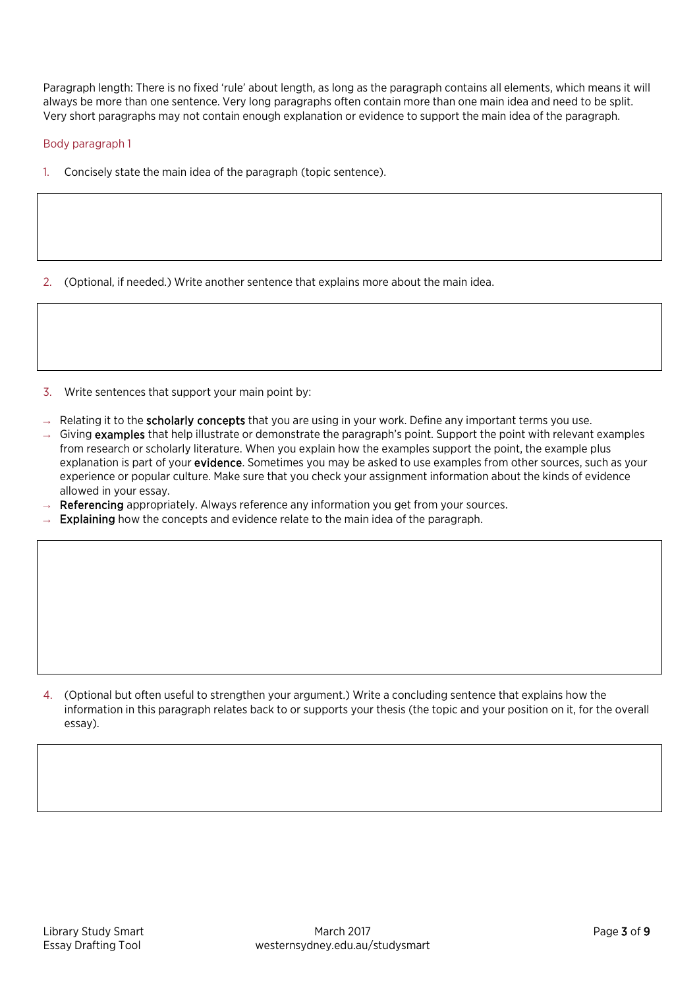Paragraph length: There is no fixed 'rule' about length, as long as the paragraph contains all elements, which means it will always be more than one sentence. Very long paragraphs often contain more than one main idea and need to be split. Very short paragraphs may not contain enough explanation or evidence to support the main idea of the paragraph.

#### Body paragraph 1

1. Concisely state the main idea of the paragraph (topic sentence).

2. (Optional, if needed.) Write another sentence that explains more about the main idea.

3. Write sentences that support your main point by:

- $\rightarrow$  Relating it to the **scholarly concepts** that you are using in your work. Define any important terms you use.
- $\rightarrow$  Giving examples that help illustrate or demonstrate the paragraph's point. Support the point with relevant examples from research or scholarly literature. When you explain how the examples support the point, the example plus explanation is part of your evidence. Sometimes you may be asked to use examples from other sources, such as your experience or popular culture. Make sure that you check your assignment information about the kinds of evidence allowed in your essay.
- $\rightarrow$  Referencing appropriately. Always reference any information you get from your sources.
- Explaining how the concepts and evidence relate to the main idea of the paragraph.

4. (Optional but often useful to strengthen your argument.) Write a concluding sentence that explains how the information in this paragraph relates back to or supports your thesis (the topic and your position on it, for the overall essay).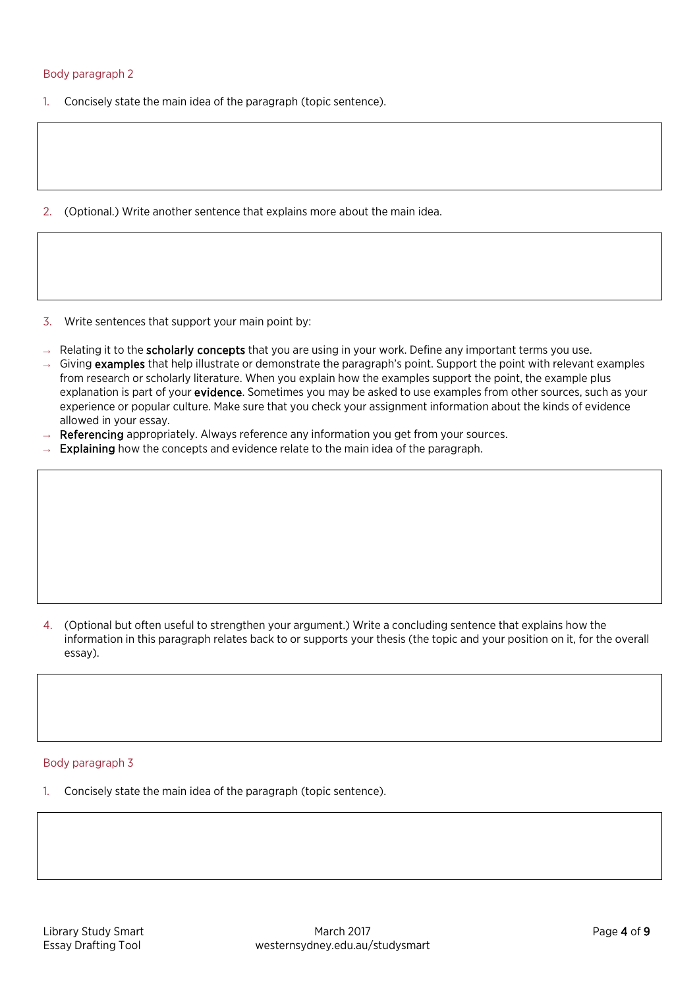#### Body paragraph 2

- 1. Concisely state the main idea of the paragraph (topic sentence).
- 2. (Optional.) Write another sentence that explains more about the main idea.
- 3. Write sentences that support your main point by:
- $\rightarrow$  Relating it to the **scholarly concepts** that you are using in your work. Define any important terms you use.
- $\rightarrow$  Giving examples that help illustrate or demonstrate the paragraph's point. Support the point with relevant examples from research or scholarly literature. When you explain how the examples support the point, the example plus explanation is part of your **evidence**. Sometimes you may be asked to use examples from other sources, such as your experience or popular culture. Make sure that you check your assignment information about the kinds of evidence allowed in your essay.
- Referencing appropriately. Always reference any information you get from your sources.
- $\rightarrow$  Explaining how the concepts and evidence relate to the main idea of the paragraph.

4. (Optional but often useful to strengthen your argument.) Write a concluding sentence that explains how the information in this paragraph relates back to or supports your thesis (the topic and your position on it, for the overall essay).

#### Body paragraph 3

1. Concisely state the main idea of the paragraph (topic sentence).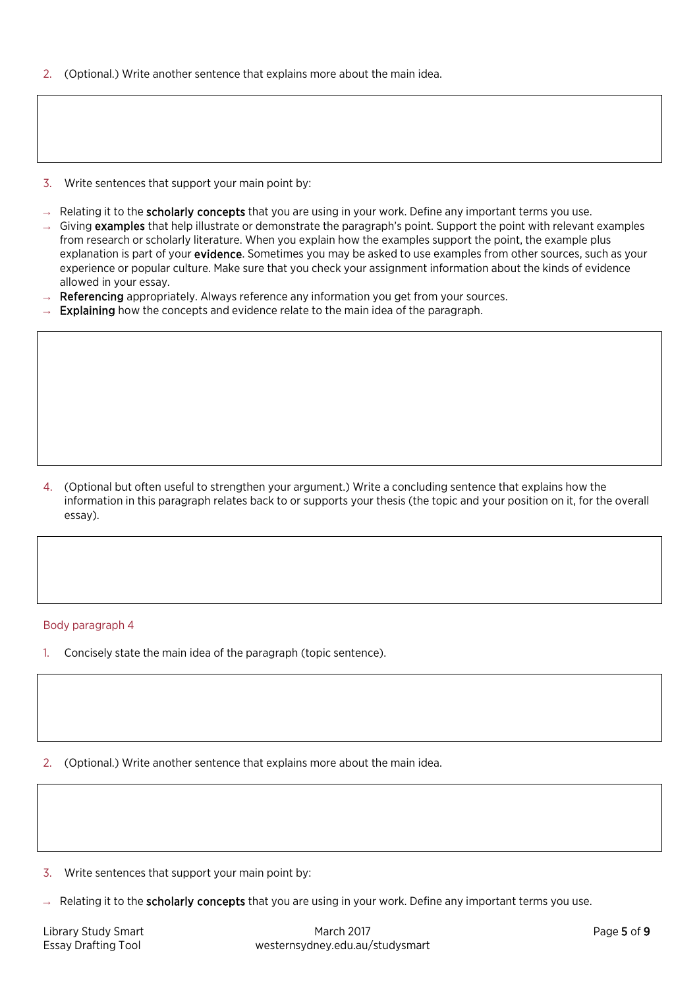- 2. (Optional.) Write another sentence that explains more about the main idea.
- 3. Write sentences that support your main point by:
- $\rightarrow$  Relating it to the **scholarly concepts** that you are using in your work. Define any important terms you use.
- $\rightarrow$  Giving examples that help illustrate or demonstrate the paragraph's point. Support the point with relevant examples from research or scholarly literature. When you explain how the examples support the point, the example plus explanation is part of your **evidence**. Sometimes you may be asked to use examples from other sources, such as your experience or popular culture. Make sure that you check your assignment information about the kinds of evidence allowed in your essay.
- Referencing appropriately. Always reference any information you get from your sources.
- Explaining how the concepts and evidence relate to the main idea of the paragraph.

#### Body paragraph 4

- 1. Concisely state the main idea of the paragraph (topic sentence).
- 2. (Optional.) Write another sentence that explains more about the main idea.
- 3. Write sentences that support your main point by:
- Relating it to the scholarly concepts that you are using in your work. Define any important terms you use.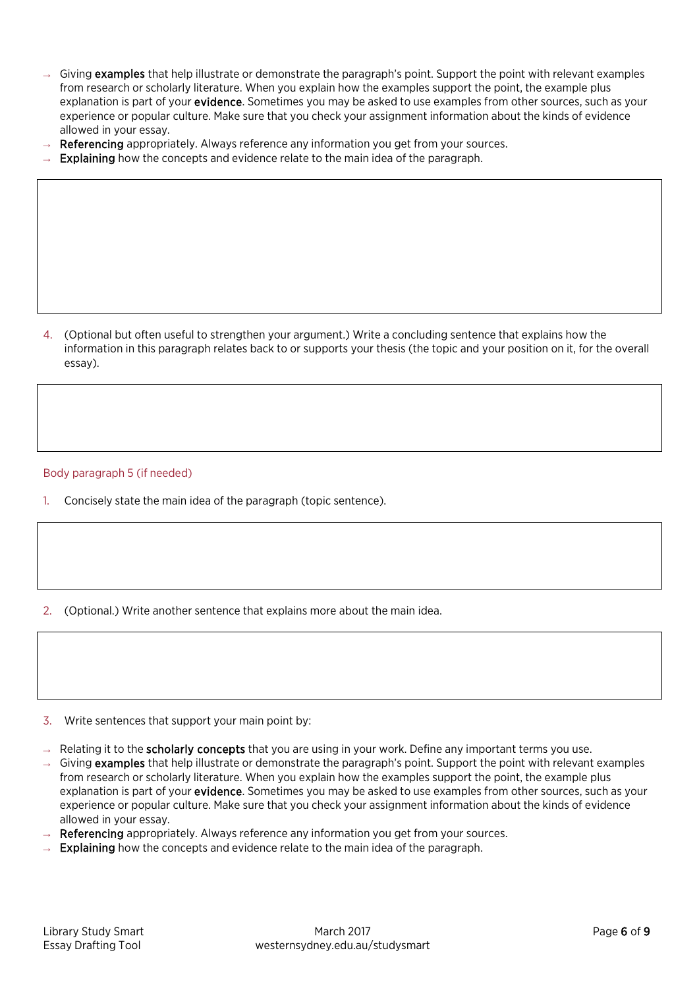- $\rightarrow$  Giving examples that help illustrate or demonstrate the paragraph's point. Support the point with relevant examples from research or scholarly literature. When you explain how the examples support the point, the example plus explanation is part of your **evidence**. Sometimes you may be asked to use examples from other sources, such as your experience or popular culture. Make sure that you check your assignment information about the kinds of evidence allowed in your essay.
- Referencing appropriately. Always reference any information you get from your sources.
- Explaining how the concepts and evidence relate to the main idea of the paragraph.

Body paragraph 5 (if needed)

- 1. Concisely state the main idea of the paragraph (topic sentence).
- 2. (Optional.) Write another sentence that explains more about the main idea.
- 3. Write sentences that support your main point by:
- $\rightarrow$  Relating it to the **scholarly concepts** that you are using in your work. Define any important terms you use.
- $\rightarrow$  Giving examples that help illustrate or demonstrate the paragraph's point. Support the point with relevant examples from research or scholarly literature. When you explain how the examples support the point, the example plus explanation is part of your **evidence**. Sometimes you may be asked to use examples from other sources, such as your experience or popular culture. Make sure that you check your assignment information about the kinds of evidence allowed in your essay.
- Referencing appropriately. Always reference any information you get from your sources.
- $\rightarrow$  Explaining how the concepts and evidence relate to the main idea of the paragraph.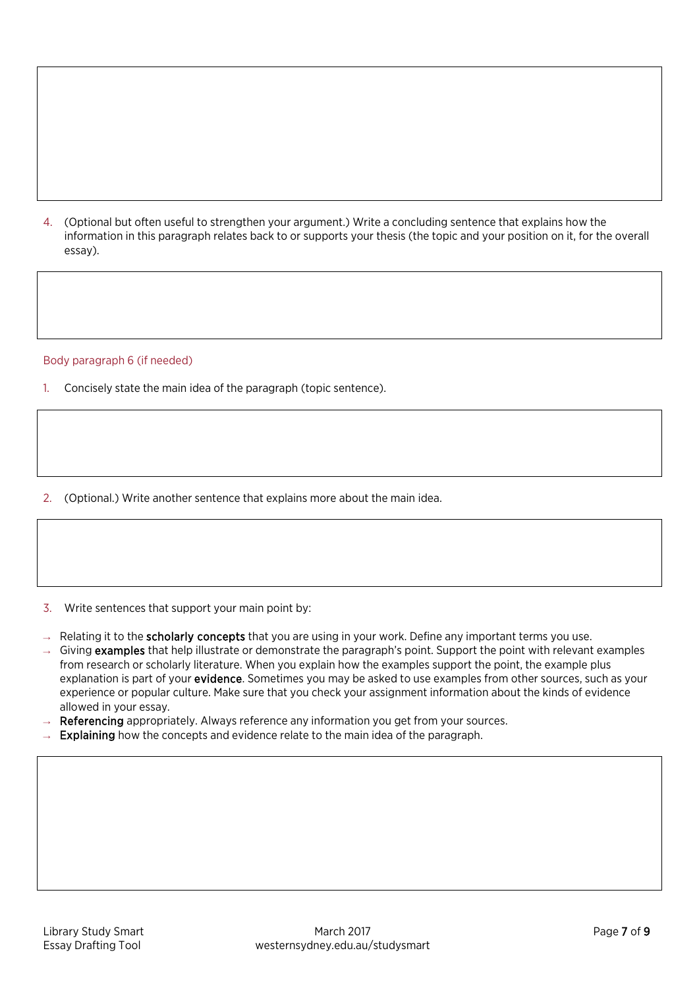#### Body paragraph 6 (if needed)

- 1. Concisely state the main idea of the paragraph (topic sentence).
- 2. (Optional.) Write another sentence that explains more about the main idea.
- 3. Write sentences that support your main point by:
- → Relating it to the scholarly concepts that you are using in your work. Define any important terms you use.
- Giving examples that help illustrate or demonstrate the paragraph's point. Support the point with relevant examples from research or scholarly literature. When you explain how the examples support the point, the example plus explanation is part of your **evidence**. Sometimes you may be asked to use examples from other sources, such as your experience or popular culture. Make sure that you check your assignment information about the kinds of evidence allowed in your essay.
- Referencing appropriately. Always reference any information you get from your sources.
- Explaining how the concepts and evidence relate to the main idea of the paragraph.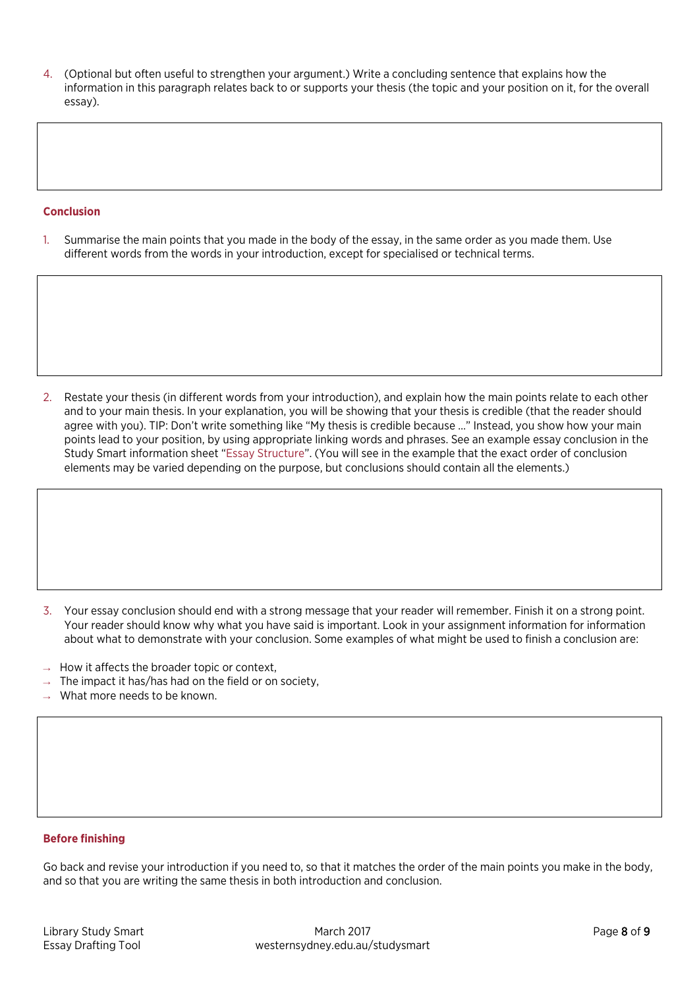#### **Conclusion**

1. Summarise the main points that you made in the body of the essay, in the same order as you made them. Use different words from the words in your introduction, except for specialised or technical terms.

2. Restate your thesis (in different words from your introduction), and explain how the main points relate to each other and to your main thesis. In your explanation, you will be showing that your thesis is credible (that the reader should agree with you). TIP: Don't write something like "My thesis is credible because …" Instead, you show how your main points lead to your position, by using appropriate linking words and phrases. See an example essay conclusion in the Study Smart information sheet ["Essay Structure"](https://westernsydney.edu.au/__data/assets/pdf_file/0016/1082500/Essay_Structure.pdf). (You will see in the example that the exact order of conclusion elements may be varied depending on the purpose, but conclusions should contain all the elements.)

- 3. Your essay conclusion should end with a strong message that your reader will remember. Finish it on a strong point. Your reader should know why what you have said is important. Look in your assignment information for information about what to demonstrate with your conclusion. Some examples of what might be used to finish a conclusion are:
- $\rightarrow$  How it affects the broader topic or context,
- $\rightarrow$  The impact it has/has had on the field or on society,
- $\rightarrow$  What more needs to be known.

#### **Before finishing**

Go back and revise your introduction if you need to, so that it matches the order of the main points you make in the body, and so that you are writing the same thesis in both introduction and conclusion.